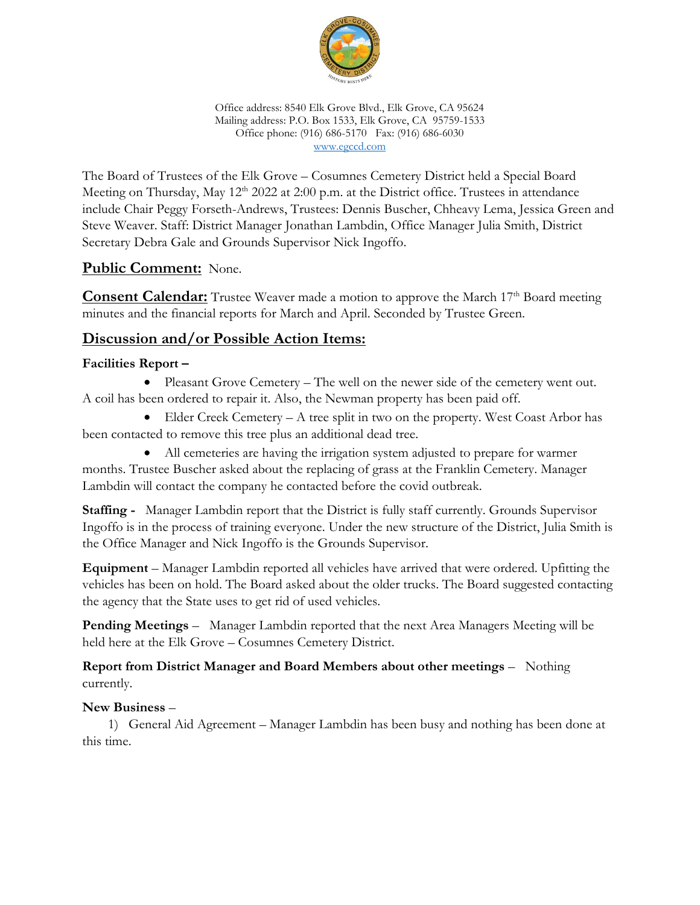

Office address: 8540 Elk Grove Blvd., Elk Grove, CA 95624 Mailing address: P.O. Box 1533, Elk Grove, CA 95759-1533 Office phone: (916) 686-5170 Fax: (916) 686-6030 [www.egccd.com](http://www.egccd.com/)

The Board of Trustees of the Elk Grove – Cosumnes Cemetery District held a Special Board Meeting on Thursday, May 12<sup>th</sup> 2022 at 2:00 p.m. at the District office. Trustees in attendance include Chair Peggy Forseth-Andrews, Trustees: Dennis Buscher, Chheavy Lema, Jessica Green and Steve Weaver. Staff: District Manager Jonathan Lambdin, Office Manager Julia Smith, District Secretary Debra Gale and Grounds Supervisor Nick Ingoffo.

# **Public Comment:** None.

**Consent Calendar:** Trustee Weaver made a motion to approve the March 17<sup>th</sup> Board meeting minutes and the financial reports for March and April. Seconded by Trustee Green.

# **Discussion and/or Possible Action Items:**

## **Facilities Report –**

• Pleasant Grove Cemetery – The well on the newer side of the cemetery went out. A coil has been ordered to repair it. Also, the Newman property has been paid off.

• Elder Creek Cemetery – A tree split in two on the property. West Coast Arbor has been contacted to remove this tree plus an additional dead tree.

• All cemeteries are having the irrigation system adjusted to prepare for warmer months. Trustee Buscher asked about the replacing of grass at the Franklin Cemetery. Manager Lambdin will contact the company he contacted before the covid outbreak.

**Staffing -** Manager Lambdin report that the District is fully staff currently. Grounds Supervisor Ingoffo is in the process of training everyone. Under the new structure of the District, Julia Smith is the Office Manager and Nick Ingoffo is the Grounds Supervisor.

**Equipment** – Manager Lambdin reported all vehicles have arrived that were ordered. Upfitting the vehicles has been on hold. The Board asked about the older trucks. The Board suggested contacting the agency that the State uses to get rid of used vehicles.

**Pending Meetings** – Manager Lambdin reported that the next Area Managers Meeting will be held here at the Elk Grove – Cosumnes Cemetery District.

### **Report from District Manager and Board Members about other meetings** – Nothing currently.

## **New Business** –

1) General Aid Agreement – Manager Lambdin has been busy and nothing has been done at this time.